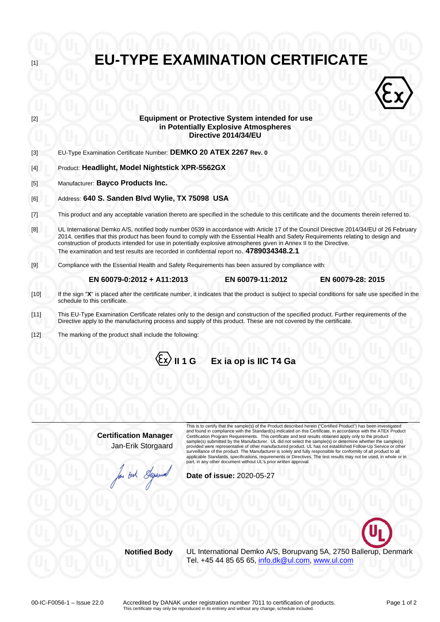**EU-TYPE EXAMINATION CERTIFICATE** [2] **Equipment or Protective System intended for use**  $\langle \hat{z} \rangle$ **in Potentially Explosive Atmospheres Directive 2014/34/EU** [3] EU-Type Examination Certificate Number: **DEMKO 20 ATEX 2267 Rev. 0** [4] Product: **Headlight, Model Nightstick XPR-5562GX** [5] Manufacturer: **Bayco Products Inc.** [6] Address: **640 S. Sanden Blvd Wylie, TX 75098 USA**  [7] This product and any acceptable variation thereto are specified in the schedule to this certificate and the documents therein referred to. [8] UL International Demko A/S, notified body number 0539 in accordance with Article 17 of the Council Directive 2014/34/EU of 26 February 2014, certifies that this product has been found to comply with the Essential Health and Safety Requirements relating to design and construction of products intended for use in potentially explosive atmospheres given in Annex II to the Directive. The examination and test results are recorded in confidential report no. **4789034348.2.1** [9] Compliance with the Essential Health and Safety Requirements has been assured by compliance with:  **EN 60079-0:2012 + A11:2013 EN 60079-11:2012 EN 60079-28: 2015** [10] If the sign "**X**" is placed after the certificate number, it indicates that the product is subject to special conditions for safe use specified in the schedule to this certificate. [11] This EU-Type Examination Certificate relates only to the design and construction of the specified product. Further requirements of the Directive apply to the manufacturing process and supply of this product. These are not covered by the certificate. [12] The marking of the product shall include the following: **II 1 G Ex ia op is IIC T4 Ga** 

> **Certification Manager** Jan-Erik Storgaard

m Buh Slype

This is to certify that the sample(s) of the Product described herein ("Certified Product") has been investigated and found in compliance with the Standard(s) indicated on this Certificate, in accordance with the ATEX Product Certification Program Requirements. This certificate and test results obtained apply only to the product<br>sample(s) submitted by the Manufacturer. UL did not select the sample(s) or determine whether the sample(s)<br>provide surveillance of the product. The Manufacturer is solely and fully responsible for conformity of all product to all<br>applicable Standards, specifications, requirements or Directives. The test results may not be used, in whol part, in any other document without UL's prior written approval.

**Date of issue:** 2020-05-27



**Notified Body** UL International Demko A/S, Borupvang 5A, 2750 Ballerup, Denmark Tel. +45 44 85 65 65, [info.dk@ul.com,](mailto:info.dk@ul.com) [www.ul.com](http://www.ul.com/)